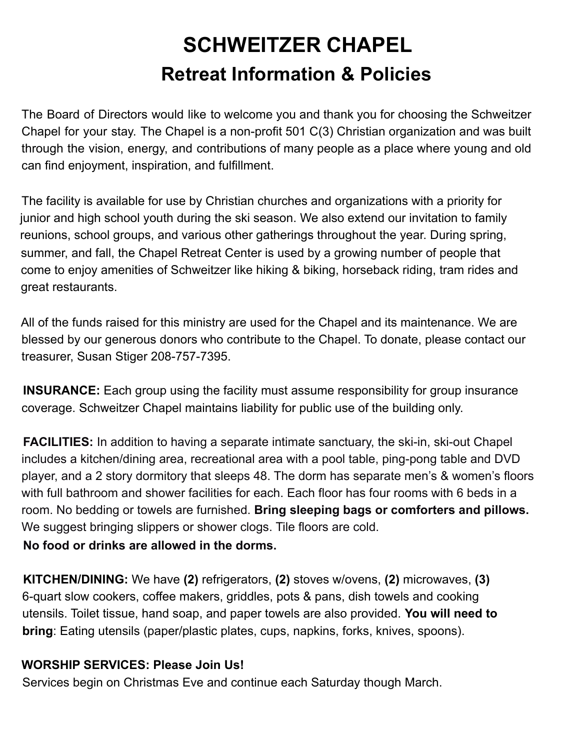## **SCHWEITZER CHAPEL Retreat Information & Policies**

The Board of Directors would like to welcome you and thank you for choosing the Schweitzer Chapel for your stay. The Chapel is a non-profit 501 C(3) Christian organization and was built through the vision, energy, and contributions of many people as a place where young and old can find enjoyment, inspiration, and fulfillment.

The facility is available for use by Christian churches and organizations with a priority for junior and high school youth during the ski season. We also extend our invitation to family reunions, school groups, and various other gatherings throughout the year. During spring, summer, and fall, the Chapel Retreat Center is used by a growing number of people that come to enjoy amenities of Schweitzer like hiking & biking, horseback riding, tram rides and great restaurants.

All of the funds raised for this ministry are used for the Chapel and its maintenance. We are blessed by our generous donors who contribute to the Chapel. To donate, please contact our treasurer, Susan Stiger 208-757-7395.

**INSURANCE:** Each group using the facility must assume responsibility for group insurance coverage. Schweitzer Chapel maintains liability for public use of the building only.

**FACILITIES:** In addition to having a separate intimate sanctuary, the ski-in, ski-out Chapel includes a kitchen/dining area, recreational area with a pool table, ping-pong table and DVD player, and a 2 story dormitory that sleeps 48. The dorm has separate men's & women's floors with full bathroom and shower facilities for each. Each floor has four rooms with 6 beds in a room. No bedding or towels are furnished. **Bring sleeping bags or comforters and pillows.** We suggest bringing slippers or shower clogs. Tile floors are cold.

## **No food or drinks are allowed in the dorms.**

**KITCHEN/DINING:** We have **(2)** refrigerators, **(2)** stoves w/ovens, **(2)** microwaves, **(3)** 6-quart slow cookers, coffee makers, griddles, pots & pans, dish towels and cooking utensils. Toilet tissue, hand soap, and paper towels are also provided. **You will need to bring**: Eating utensils (paper/plastic plates, cups, napkins, forks, knives, spoons).

## **WORSHIP SERVICES: Please Join Us!**

Services begin on Christmas Eve and continue each Saturday though March.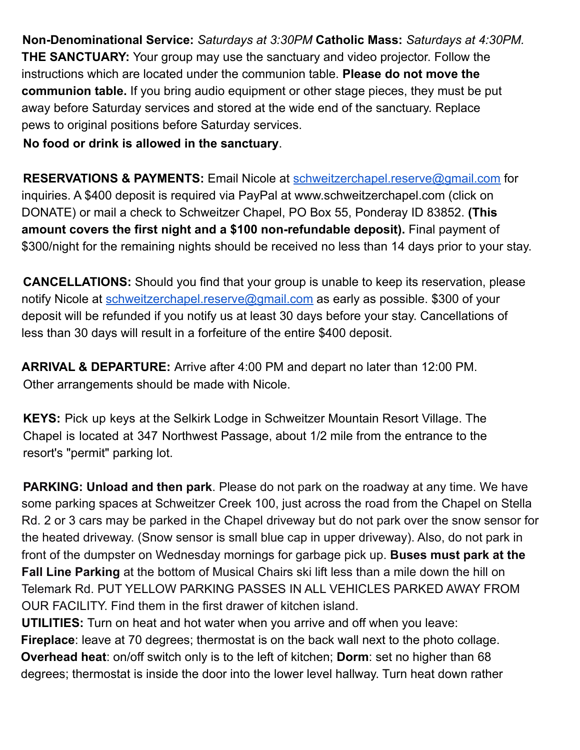**Non-Denominational Service:** *Saturdays at 3:30PM* **Catholic Mass:** *Saturdays at 4:30PM.* **THE SANCTUARY:** Your group may use the sanctuary and video projector. Follow the instructions which are located under the communion table. **Please do not move the communion table.** If you bring audio equipment or other stage pieces, they must be put away before Saturday services and stored at the wide end of the sanctuary. Replace pews to original positions before Saturday services.

**No food or drink is allowed in the sanctuary**.

**RESERVATIONS & PAYMENTS:** Email Nicole at schweitzerchapel.reserve@gmail.com for inquiries. A \$400 deposit is required via PayPal at www.schweitzerchapel.com (click on DONATE) or mail a check to Schweitzer Chapel, PO Box 55, Ponderay ID 83852. **(This amount covers the first night and a \$100 non-refundable deposit).** Final payment of \$300/night for the remaining nights should be received no less than 14 days prior to your stay.

**CANCELLATIONS:** Should you find that your group is unable to keep its reservation, please notify Nicole at schweitzerchapel.reserve@gmail.com as early as possible. \$300 of your deposit will be refunded if you notify us at least 30 days before your stay. Cancellations of less than 30 days will result in a forfeiture of the entire \$400 deposit.

**ARRIVAL & DEPARTURE:** Arrive after 4:00 PM and depart no later than 12:00 PM. Other arrangements should be made with Nicole.

**KEYS:** Pick up keys at the Selkirk Lodge in Schweitzer Mountain Resort Village. The Chapel is located at 347 Northwest Passage, about 1/2 mile from the entrance to the resort's "permit" parking lot.

**PARKING: Unload and then park**. Please do not park on the roadway at any time. We have some parking spaces at Schweitzer Creek 100, just across the road from the Chapel on Stella Rd. 2 or 3 cars may be parked in the Chapel driveway but do not park over the snow sensor for the heated driveway. (Snow sensor is small blue cap in upper driveway). Also, do not park in front of the dumpster on Wednesday mornings for garbage pick up. **Buses must park at the Fall Line Parking** at the bottom of Musical Chairs ski lift less than a mile down the hill on Telemark Rd. PUT YELLOW PARKING PASSES IN ALL VEHICLES PARKED AWAY FROM OUR FACILITY. Find them in the first drawer of kitchen island.

**UTILITIES:** Turn on heat and hot water when you arrive and off when you leave: **Fireplace**: leave at 70 degrees; thermostat is on the back wall next to the photo collage. **Overhead heat**: on/off switch only is to the left of kitchen; **Dorm**: set no higher than 68 degrees; thermostat is inside the door into the lower level hallway. Turn heat down rather